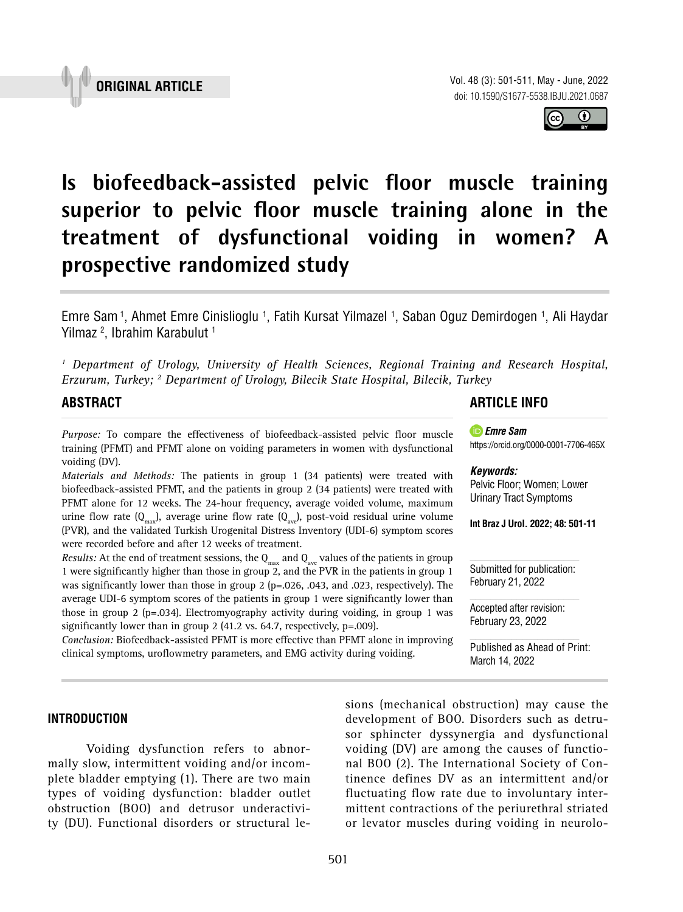Vol. 48 (3): 501-511, May - June, 2022 doi: 10.1590/S1677-5538.IBJU.2021.0687

 $\bf o$ 

**Is biofeedback-assisted pelvic floor muscle training superior to pelvic floor muscle training alone in the treatment of dysfunctional voiding in women? A prospective randomized study \_\_\_\_\_\_\_\_\_\_\_\_\_\_\_\_\_\_\_\_\_\_\_\_\_\_\_\_\_\_\_\_\_\_\_\_\_\_\_\_\_\_\_\_\_\_\_**

Emre Sam <sup>1</sup>, Ahmet Emre Cinislioglu <sup>1</sup>, Fatih Kursat Yilmazel <sup>1</sup>, Saban Oguz Demirdogen <sup>1</sup>, Ali Haydar Yilmaz 2 , Ibrahim Karabulut 1

<sup>1</sup> Department of Urology, University of Health Sciences, Regional Training and Research Hospital, *Erzurum, Turkey; 2 Department of Urology, Bilecik State Hospital, Bilecik, Turkey*

# **ABSTRACT**

*Purpose:* To compare the effectiveness of biofeedback-assisted pelvic floor muscle training (PFMT) and PFMT alone on voiding parameters in women with dysfunctional voiding (DV).

*Materials and Methods:* The patients in group 1 (34 patients) were treated with biofeedback-assisted PFMT, and the patients in group 2 (34 patients) were treated with PFMT alone for 12 weeks. The 24-hour frequency, average voided volume, maximum urine flow rate  $(Q_{max})$ , average urine flow rate  $(Q_{max})$ , post-void residual urine volume (PVR), and the validated Turkish Urogenital Distress Inventory (UDI-6) symptom scores were recorded before and after 12 weeks of treatment.

*Results:* At the end of treatment sessions, the  $Q_{\text{max}}$  and  $Q_{\text{max}}$  values of the patients in group 1 were significantly higher than those in group 2, and the PVR in the patients in group 1 was significantly lower than those in group 2 (p=.026, .043, and .023, respectively). The average UDI-6 symptom scores of the patients in group 1 were significantly lower than those in group 2 (p=.034). Electromyography activity during voiding, in group 1 was significantly lower than in group 2 (41.2 vs. 64.7, respectively, p=.009).

*Conclusion:* Biofeedback-assisted PFMT is more effective than PFMT alone in improving clinical symptoms, uroflowmetry parameters, and EMG activity during voiding.

## **INTRODUCTION**

Voiding dysfunction refers to abnormally slow, intermittent voiding and/or incomplete bladder emptying (1). There are two main types of voiding dysfunction: bladder outlet obstruction (BOO) and detrusor underactivity (DU). Functional disorders or structural lesions (mechanical obstruction) may cause the development of BOO. Disorders such as detrusor sphincter dyssynergia and dysfunctional voiding (DV) are among the causes of functional BOO (2). The International Society of Continence defines DV as an intermittent and/or fluctuating flow rate due to involuntary intermittent contractions of the periurethral striated or levator muscles during voiding in neurolo-

# **ARTICLE INFO**

[https://orcid.org/](https://orcid.org/0000-0002-9678-8247)0000-0001-7706-465X

Pelvic Floor; Women; Lower Urinary Tract Symptoms

**Int Braz J Urol. 2022; 48: 501-11**

*Emre Sam*

*Keywords:*



Accepted after revision: February 23, 2022

Published as Ahead of Print: March 14, 2022

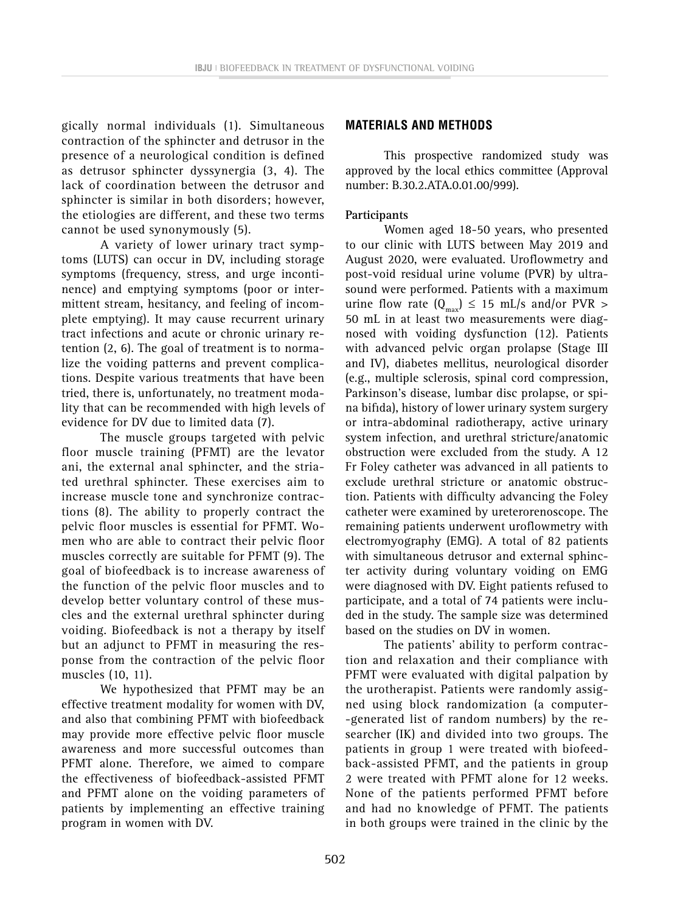gically normal individuals (1). Simultaneous contraction of the sphincter and detrusor in the presence of a neurological condition is defined as detrusor sphincter dyssynergia (3, 4). The lack of coordination between the detrusor and sphincter is similar in both disorders; however, the etiologies are different, and these two terms cannot be used synonymously (5).

A variety of lower urinary tract symptoms (LUTS) can occur in DV, including storage symptoms (frequency, stress, and urge incontinence) and emptying symptoms (poor or intermittent stream, hesitancy, and feeling of incomplete emptying). It may cause recurrent urinary tract infections and acute or chronic urinary retention (2, 6). The goal of treatment is to normalize the voiding patterns and prevent complications. Despite various treatments that have been tried, there is, unfortunately, no treatment modality that can be recommended with high levels of evidence for DV due to limited data (7).

The muscle groups targeted with pelvic floor muscle training (PFMT) are the levator ani, the external anal sphincter, and the striated urethral sphincter. These exercises aim to increase muscle tone and synchronize contractions (8). The ability to properly contract the pelvic floor muscles is essential for PFMT. Women who are able to contract their pelvic floor muscles correctly are suitable for PFMT (9). The goal of biofeedback is to increase awareness of the function of the pelvic floor muscles and to develop better voluntary control of these muscles and the external urethral sphincter during voiding. Biofeedback is not a therapy by itself but an adjunct to PFMT in measuring the response from the contraction of the pelvic floor muscles (10, 11).

We hypothesized that PFMT may be an effective treatment modality for women with DV, and also that combining PFMT with biofeedback may provide more effective pelvic floor muscle awareness and more successful outcomes than PFMT alone. Therefore, we aimed to compare the effectiveness of biofeedback-assisted PFMT and PFMT alone on the voiding parameters of patients by implementing an effective training program in women with DV.

### **MATERIALS AND METHODS**

This prospective randomized study was approved by the local ethics committee (Approval number: B.30.2.ATA.0.01.00/999).

### **Participants**

Women aged 18-50 years, who presented to our clinic with LUTS between May 2019 and August 2020, were evaluated. Uroflowmetry and post-void residual urine volume (PVR) by ultrasound were performed. Patients with a maximum urine flow rate  $(Q_{max}) \le 15$  mL/s and/or PVR > 50 mL in at least two measurements were diagnosed with voiding dysfunction (12). Patients with advanced pelvic organ prolapse (Stage III and IV), diabetes mellitus, neurological disorder (e.g., multiple sclerosis, spinal cord compression, Parkinson's disease, lumbar disc prolapse, or spina bifida), history of lower urinary system surgery or intra-abdominal radiotherapy, active urinary system infection, and urethral stricture/anatomic obstruction were excluded from the study. A 12 Fr Foley catheter was advanced in all patients to exclude urethral stricture or anatomic obstruction. Patients with difficulty advancing the Foley catheter were examined by ureterorenoscope. The remaining patients underwent uroflowmetry with electromyography (EMG). A total of 82 patients with simultaneous detrusor and external sphincter activity during voluntary voiding on EMG were diagnosed with DV. Eight patients refused to participate, and a total of 74 patients were included in the study. The sample size was determined based on the studies on DV in women.

The patients' ability to perform contraction and relaxation and their compliance with PFMT were evaluated with digital palpation by the urotherapist. Patients were randomly assigned using block randomization (a computer- -generated list of random numbers) by the researcher (IK) and divided into two groups. The patients in group 1 were treated with biofeedback-assisted PFMT, and the patients in group 2 were treated with PFMT alone for 12 weeks. None of the patients performed PFMT before and had no knowledge of PFMT. The patients in both groups were trained in the clinic by the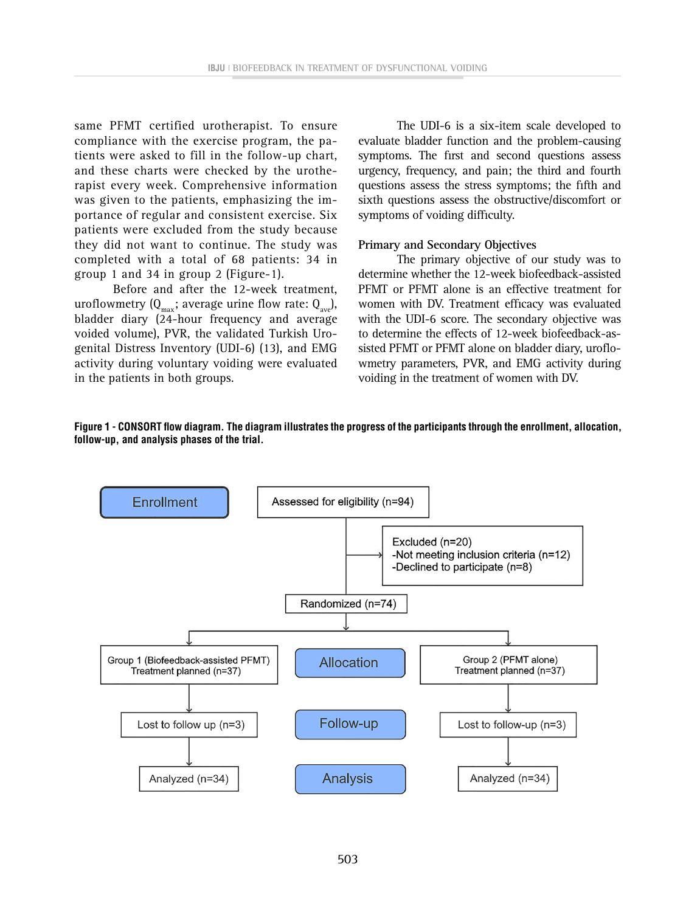same PFMT certified urotherapist. To ensure compliance with the exercise program, the patients were asked to fill in the follow-up chart, and these charts were checked by the urotherapist every week. Comprehensive information was given to the patients, emphasizing the importance of regular and consistent exercise. Six patients were excluded from the study because they did not want to continue. The study was completed with a total of 68 patients: 34 in group 1 and 34 in group 2 (Figure-1).

Before and after the 12-week treatment, uroflowmetry  $(Q_{\text{max}})$ ; average urine flow rate:  $Q_{\text{ave}}$ ), bladder diary (24-hour frequency and average voided volume), PVR, the validated Turkish Urogenital Distress Inventory (UDI-6) (13), and EMG activity during voluntary voiding were evaluated in the patients in both groups.

The UDI-6 is a six-item scale developed to evaluate bladder function and the problem-causing symptoms. The first and second questions assess urgency, frequency, and pain; the third and fourth questions assess the stress symptoms; the fifth and sixth questions assess the obstructive/discomfort or symptoms of voiding difficulty.

#### **Primary and Secondary Objectives**

The primary objective of our study was to determine whether the 12-week biofeedback-assisted PFMT or PFMT alone is an effective treatment for women with DV. Treatment efficacy was evaluated with the UDI-6 score. The secondary objective was to determine the effects of 12-week biofeedback-assisted PFMT or PFMT alone on bladder diary, uroflowmetry parameters, PVR, and EMG activity during voiding in the treatment of women with DV.



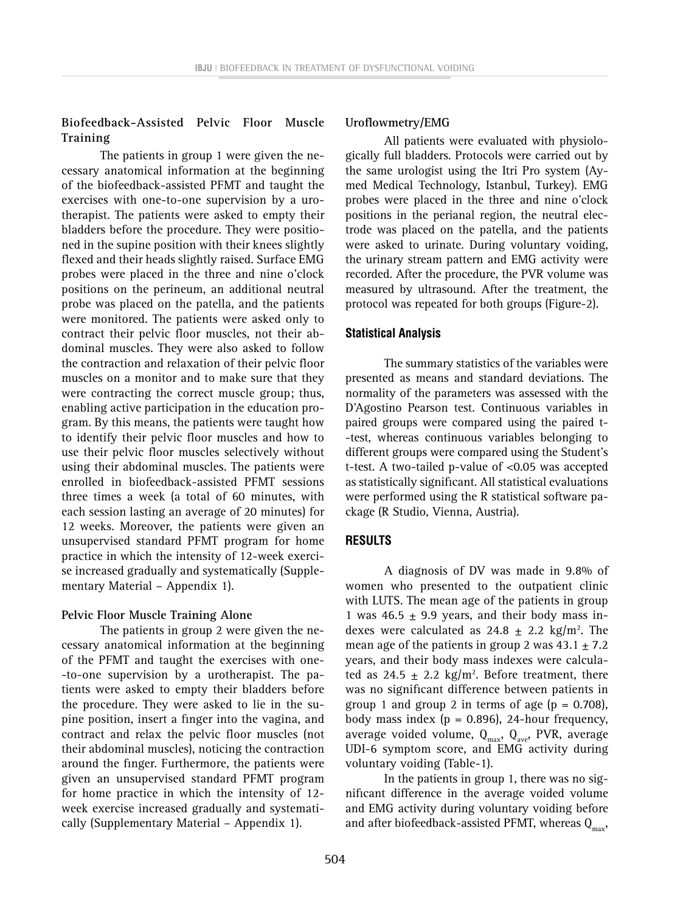# **Biofeedback-Assisted Pelvic Floor Muscle Training**

The patients in group 1 were given the necessary anatomical information at the beginning of the biofeedback-assisted PFMT and taught the exercises with one-to-one supervision by a urotherapist. The patients were asked to empty their bladders before the procedure. They were positioned in the supine position with their knees slightly flexed and their heads slightly raised. Surface EMG probes were placed in the three and nine o'clock positions on the perineum, an additional neutral probe was placed on the patella, and the patients were monitored. The patients were asked only to contract their pelvic floor muscles, not their abdominal muscles. They were also asked to follow the contraction and relaxation of their pelvic floor muscles on a monitor and to make sure that they were contracting the correct muscle group; thus, enabling active participation in the education program. By this means, the patients were taught how to identify their pelvic floor muscles and how to use their pelvic floor muscles selectively without using their abdominal muscles. The patients were enrolled in biofeedback-assisted PFMT sessions three times a week (a total of 60 minutes, with each session lasting an average of 20 minutes) for 12 weeks. Moreover, the patients were given an unsupervised standard PFMT program for home practice in which the intensity of 12-week exercise increased gradually and systematically (Supplementary Material – Appendix 1).

#### **Pelvic Floor Muscle Training Alone**

The patients in group 2 were given the necessary anatomical information at the beginning of the PFMT and taught the exercises with one- -to-one supervision by a urotherapist. The patients were asked to empty their bladders before the procedure. They were asked to lie in the supine position, insert a finger into the vagina, and contract and relax the pelvic floor muscles (not their abdominal muscles), noticing the contraction around the finger. Furthermore, the patients were given an unsupervised standard PFMT program for home practice in which the intensity of 12 week exercise increased gradually and systematically (Supplementary Material – Appendix 1).

### **Uroflowmetry/EMG**

All patients were evaluated with physiologically full bladders. Protocols were carried out by the same urologist using the Itri Pro system (Aymed Medical Technology, Istanbul, Turkey). EMG probes were placed in the three and nine o'clock positions in the perianal region, the neutral electrode was placed on the patella, and the patients were asked to urinate. During voluntary voiding, the urinary stream pattern and EMG activity were recorded. After the procedure, the PVR volume was measured by ultrasound. After the treatment, the protocol was repeated for both groups (Figure-2).

#### **Statistical Analysis**

The summary statistics of the variables were presented as means and standard deviations. The normality of the parameters was assessed with the D'Agostino Pearson test. Continuous variables in paired groups were compared using the paired t- -test, whereas continuous variables belonging to different groups were compared using the Student's t-test. A two-tailed p-value of <0.05 was accepted as statistically significant. All statistical evaluations were performed using the R statistical software package (R Studio, Vienna, Austria).

### **RESULTS**

A diagnosis of DV was made in 9.8% of women who presented to the outpatient clinic with LUTS. The mean age of the patients in group 1 was 46.5  $\pm$  9.9 years, and their body mass indexes were calculated as  $24.8 \pm 2.2$  kg/m<sup>2</sup>. The mean age of the patients in group 2 was  $43.1 \pm 7.2$ years, and their body mass indexes were calculated as 24.5  $\pm$  2.2 kg/m<sup>2</sup>. Before treatment, there was no significant difference between patients in group 1 and group 2 in terms of age  $(p = 0.708)$ , body mass index ( $p = 0.896$ ), 24-hour frequency, average voided volume,  $Q_{max}$ ,  $Q_{ave}$ , PVR, average UDI-6 symptom score, and EMG activity during voluntary voiding (Table-1).

In the patients in group 1, there was no significant difference in the average voided volume and EMG activity during voluntary voiding before and after biofeedback-assisted PFMT, whereas  $Q_{\text{max}}$ ,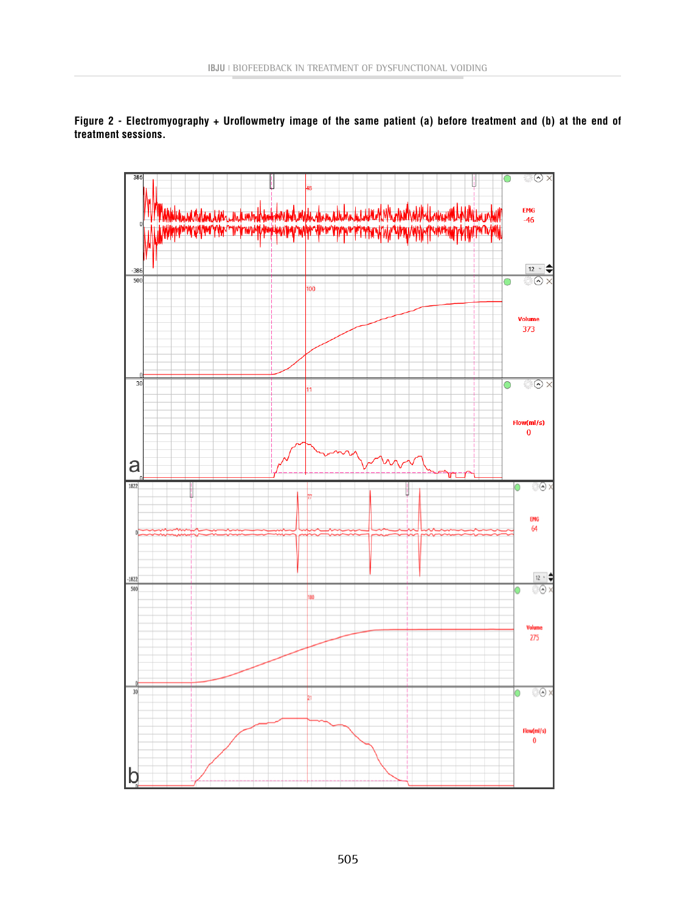**Figure 2 - Electromyography + Uroflowmetry image of the same patient (a) before treatment and (b) at the end of treatment sessions.**

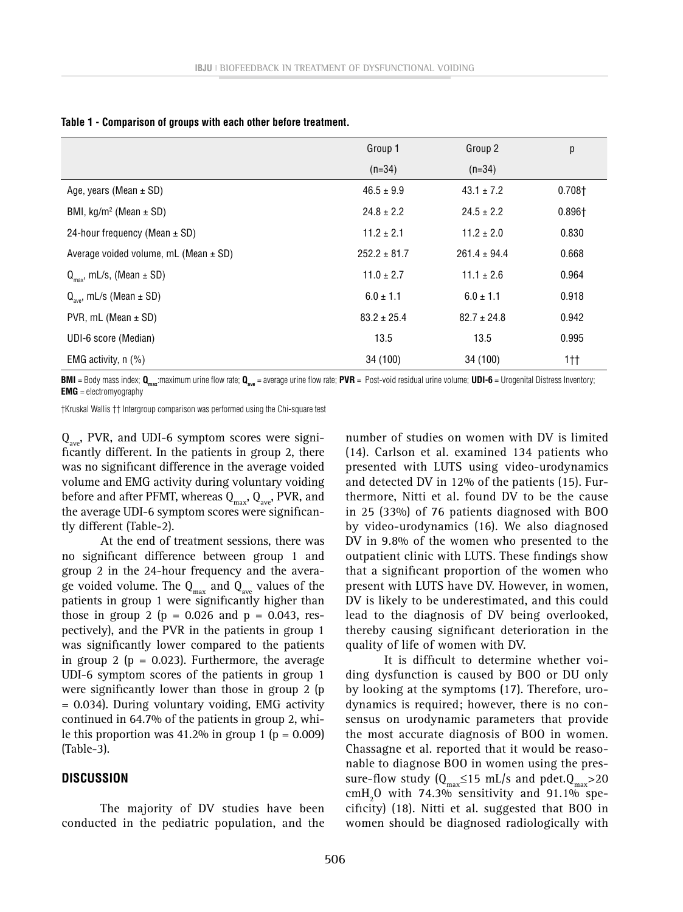|                                             | Group 1          | Group 2          | р              |
|---------------------------------------------|------------------|------------------|----------------|
|                                             | $(n=34)$         | $(n=34)$         |                |
| Age, years (Mean $\pm$ SD)                  | $46.5 \pm 9.9$   | $43.1 \pm 7.2$   | $0.708+$       |
| BMI, $kg/m^2$ (Mean $\pm$ SD)               | $24.8 \pm 2.2$   | $24.5 \pm 2.2$   | $0.896 +$      |
| 24-hour frequency (Mean $\pm$ SD)           | $11.2 \pm 2.1$   | $11.2 \pm 2.0$   | 0.830          |
| Average voided volume, $mL$ (Mean $\pm$ SD) | $252.2 \pm 81.7$ | $261.4 \pm 94.4$ | 0.668          |
| $Q_{\text{max}}$ , mL/s, (Mean $\pm$ SD)    | $11.0 \pm 2.7$   | $11.1 \pm 2.6$   | 0.964          |
| $Q_{\text{avg}}$ , mL/s (Mean $\pm$ SD)     | $6.0 \pm 1.1$    | $6.0 \pm 1.1$    | 0.918          |
| PVR, mL (Mean $\pm$ SD)                     | $83.2 \pm 25.4$  | $82.7 \pm 24.8$  | 0.942          |
| UDI-6 score (Median)                        | 13.5             | 13.5             | 0.995          |
| EMG activity, $n$ (%)                       | 34 (100)         | 34 (100)         | 1 <sup>†</sup> |

**Table 1 - Comparison of groups with each other before treatment.**

**BMI** = Body mass index;  $Q_{max}$ :maximum urine flow rate;  $Q_{ave}$  = average urine flow rate; **PVR** = Post-void residual urine volume; **UDI-6** = Urogenital Distress Inventory; **EMG** = electromyography

†Kruskal Wallis †† Intergroup comparison was performed using the Chi-square test

 $Q_{\text{ave}}$ , PVR, and UDI-6 symptom scores were significantly different. In the patients in group 2, there was no significant difference in the average voided volume and EMG activity during voluntary voiding before and after PFMT, whereas  $Q_{max}$ ,  $Q_{ave}$ , PVR, and the average UDI-6 symptom scores were significantly different (Table-2).

At the end of treatment sessions, there was no significant difference between group 1 and group 2 in the 24-hour frequency and the average voided volume. The  $Q_{max}$  and  $Q_{ave}$  values of the patients in group 1 were significantly higher than those in group 2 ( $p = 0.026$  and  $p = 0.043$ , respectively), and the PVR in the patients in group 1 was significantly lower compared to the patients in group 2 ( $p = 0.023$ ). Furthermore, the average UDI-6 symptom scores of the patients in group 1 were significantly lower than those in group 2 (p = 0.034). During voluntary voiding, EMG activity continued in 64.7% of the patients in group 2, while this proportion was  $41.2\%$  in group 1 (p = 0.009) (Table-3).

#### **DISCUSSION**

The majority of DV studies have been conducted in the pediatric population, and the

number of studies on women with DV is limited (14). Carlson et al. examined 134 patients who presented with LUTS using video-urodynamics and detected DV in 12% of the patients (15). Furthermore, Nitti et al. found DV to be the cause in 25 (33%) of 76 patients diagnosed with BOO by video-urodynamics (16). We also diagnosed DV in 9.8% of the women who presented to the outpatient clinic with LUTS. These findings show that a significant proportion of the women who present with LUTS have DV. However, in women, DV is likely to be underestimated, and this could lead to the diagnosis of DV being overlooked, thereby causing significant deterioration in the quality of life of women with DV.

It is difficult to determine whether voiding dysfunction is caused by BOO or DU only by looking at the symptoms (17). Therefore, urodynamics is required; however, there is no consensus on urodynamic parameters that provide the most accurate diagnosis of BOO in women. Chassagne et al. reported that it would be reasonable to diagnose BOO in women using the pressure-flow study ( $Q_{max} \le 15$  mL/s and pdet. $Q_{max} > 20$  $\text{cmH}_{2}$ O with 74.3% sensitivity and 91.1% specificity) (18). Nitti et al. suggested that BOO in women should be diagnosed radiologically with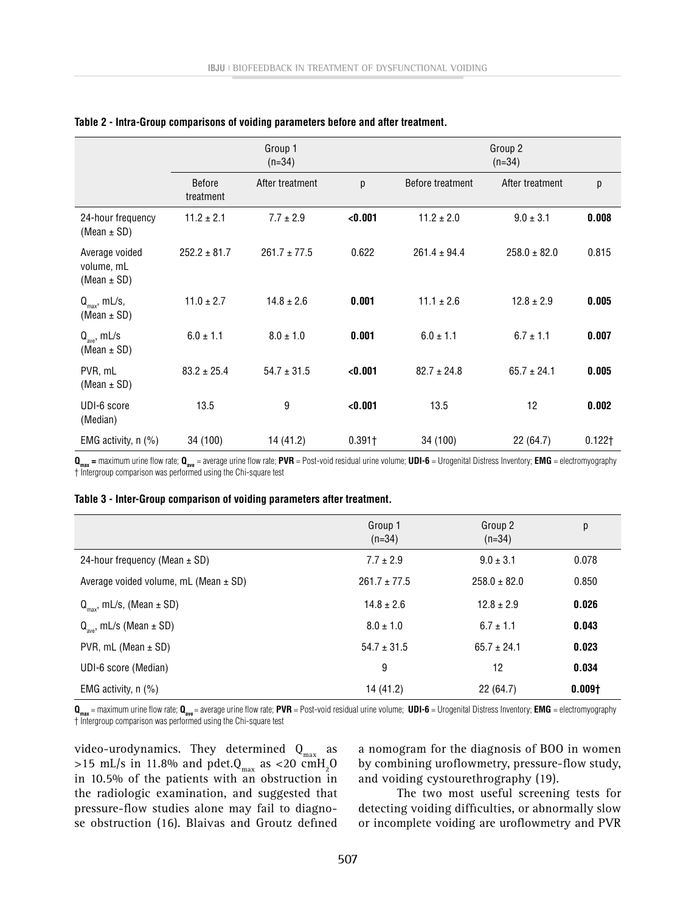|                                                 | Group 1<br>$(n=34)$        |                  |          | Group 2<br>$(n=34)$ |                  |           |
|-------------------------------------------------|----------------------------|------------------|----------|---------------------|------------------|-----------|
|                                                 | <b>Before</b><br>treatment | After treatment  | p        | Before treatment    | After treatment  | р         |
| 24-hour frequency<br>(Mean $\pm$ SD)            | $11.2 \pm 2.1$             | $7.7 \pm 2.9$    | < 0.001  | $11.2 \pm 2.0$      | $9.0 \pm 3.1$    | 0.008     |
| Average voided<br>volume, mL<br>(Mean $\pm$ SD) | $252.2 \pm 81.7$           | $261.7 \pm 77.5$ | 0.622    | $261.4 \pm 94.4$    | $258.0 \pm 82.0$ | 0.815     |
| $Q_{\text{max}}$ , mL/s,<br>(Mean $\pm$ SD)     | $11.0 \pm 2.7$             | $14.8 \pm 2.6$   | 0.001    | $11.1 \pm 2.6$      | $12.8 \pm 2.9$   | 0.005     |
| $Q_{ave}$ , mL/s<br>(Mean $\pm$ SD)             | $6.0 \pm 1.1$              | $8.0 \pm 1.0$    | 0.001    | $6.0 \pm 1.1$       | $6.7 \pm 1.1$    | 0.007     |
| PVR, mL<br>(Mean $\pm$ SD)                      | $83.2 \pm 25.4$            | $54.7 \pm 31.5$  | < 0.001  | $82.7 \pm 24.8$     | $65.7 \pm 24.1$  | 0.005     |
| UDI-6 score<br>(Median)                         | 13.5                       | 9                | < 0.001  | 13.5                | 12               | 0.002     |
| EMG activity, $n$ (%)                           | 34 (100)                   | 14 (41.2)        | $0.391+$ | 34 (100)            | 22 (64.7)        | $0.122$ † |

| Table 2 - Intra-Group comparisons of voiding parameters before and after treatment. |  |  |  |  |  |
|-------------------------------------------------------------------------------------|--|--|--|--|--|
|-------------------------------------------------------------------------------------|--|--|--|--|--|

 $Q_{\text{max}}$  = maximum urine flow rate;  $Q_{\text{ave}}$  = average urine flow rate; PVR = Post-void residual urine volume; UDI-6 = Urogenital Distress Inventory; **EMG** = electromyography † Intergroup comparison was performed using the Chi-square test

#### **Table 3 - Inter-Group comparison of voiding parameters after treatment.**

|                                             | Group 1<br>$(n=34)$ | Group 2<br>$(n=34)$ | р                  |
|---------------------------------------------|---------------------|---------------------|--------------------|
| 24-hour frequency (Mean $\pm$ SD)           | $7.7 \pm 2.9$       | $9.0 \pm 3.1$       | 0.078              |
| Average voided volume, $mL$ (Mean $\pm$ SD) | $261.7 \pm 77.5$    | $258.0 \pm 82.0$    | 0.850              |
| $Q_{\text{max}}$ , mL/s, (Mean $\pm$ SD)    | $14.8 \pm 2.6$      | $12.8 \pm 2.9$      | 0.026              |
| $Q_{\text{ave}}$ , mL/s (Mean $\pm$ SD)     | $8.0 \pm 1.0$       | $6.7 \pm 1.1$       | 0.043              |
| PVR, $mL$ (Mean $\pm$ SD)                   | $54.7 \pm 31.5$     | $65.7 \pm 24.1$     | 0.023              |
| UDI-6 score (Median)                        | 9                   | 12                  | 0.034              |
| EMG activity, $n$ (%)                       | 14 (41.2)           | 22(64.7)            | 0.009 <sub>†</sub> |

**Qmax** = maximum urine flow rate; **Qave** = average urine flow rate; **PVR** = Post-void residual urine volume; **UDI-6** = Urogenital Distress Inventory; **EMG** = electromyography † Intergroup comparison was performed using the Chi-square test

video-urodynamics. They determined  $\mathbf{Q}_{\text{max}}$  as >15 mL/s in 11.8% and pdet. $Q_{\text{max}}$  as <20 cmH<sub>2</sub>O in 10.5% of the patients with an obstruction in the radiologic examination, and suggested that pressure-flow studies alone may fail to diagnose obstruction (16). Blaivas and Groutz defined

a nomogram for the diagnosis of BOO in women by combining uroflowmetry, pressure-flow study, and voiding cystourethrography (19).

The two most useful screening tests for detecting voiding difficulties, or abnormally slow or incomplete voiding are uroflowmetry and PVR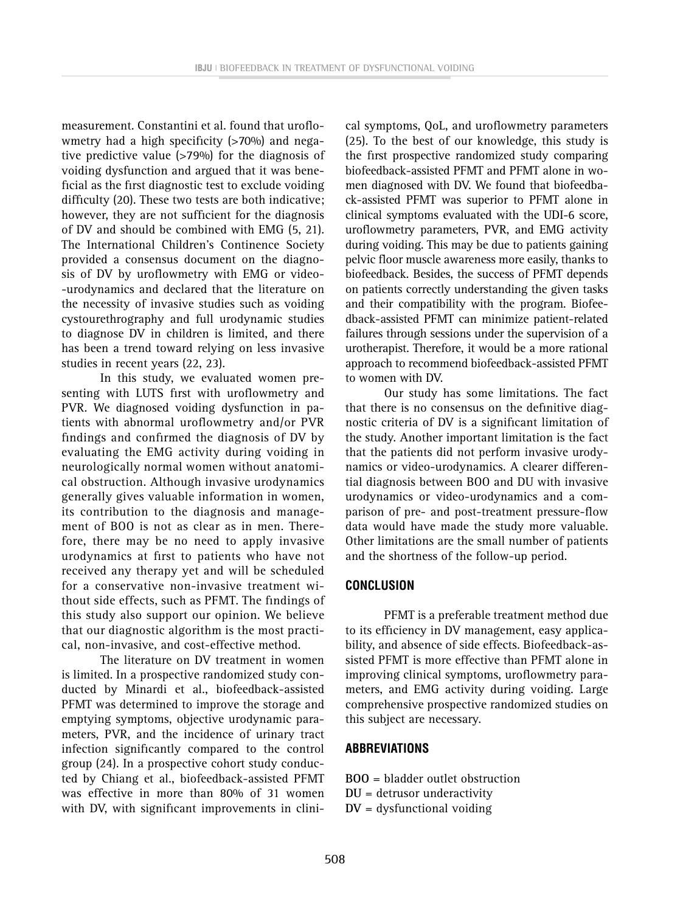measurement. Constantini et al. found that uroflowmetry had a high specificity (>70%) and negative predictive value (>79%) for the diagnosis of voiding dysfunction and argued that it was beneficial as the first diagnostic test to exclude voiding difficulty (20). These two tests are both indicative; however, they are not sufficient for the diagnosis of DV and should be combined with EMG (5, 21). The International Children's Continence Society provided a consensus document on the diagnosis of DV by uroflowmetry with EMG or video- -urodynamics and declared that the literature on the necessity of invasive studies such as voiding cystourethrography and full urodynamic studies to diagnose DV in children is limited, and there has been a trend toward relying on less invasive studies in recent years (22, 23).

In this study, we evaluated women presenting with LUTS first with uroflowmetry and PVR. We diagnosed voiding dysfunction in patients with abnormal uroflowmetry and/or PVR findings and confirmed the diagnosis of DV by evaluating the EMG activity during voiding in neurologically normal women without anatomical obstruction. Although invasive urodynamics generally gives valuable information in women, its contribution to the diagnosis and management of BOO is not as clear as in men. Therefore, there may be no need to apply invasive urodynamics at first to patients who have not received any therapy yet and will be scheduled for a conservative non-invasive treatment without side effects, such as PFMT. The findings of this study also support our opinion. We believe that our diagnostic algorithm is the most practical, non-invasive, and cost-effective method.

The literature on DV treatment in women is limited. In a prospective randomized study conducted by Minardi et al., biofeedback-assisted PFMT was determined to improve the storage and emptying symptoms, objective urodynamic parameters, PVR, and the incidence of urinary tract infection significantly compared to the control group (24). In a prospective cohort study conducted by Chiang et al., biofeedback-assisted PFMT was effective in more than 80% of 31 women with DV, with significant improvements in clinical symptoms, QoL, and uroflowmetry parameters (25). To the best of our knowledge, this study is the first prospective randomized study comparing biofeedback-assisted PFMT and PFMT alone in women diagnosed with DV. We found that biofeedback-assisted PFMT was superior to PFMT alone in clinical symptoms evaluated with the UDI-6 score, uroflowmetry parameters, PVR, and EMG activity during voiding. This may be due to patients gaining pelvic floor muscle awareness more easily, thanks to biofeedback. Besides, the success of PFMT depends on patients correctly understanding the given tasks and their compatibility with the program. Biofeedback-assisted PFMT can minimize patient-related failures through sessions under the supervision of a urotherapist. Therefore, it would be a more rational approach to recommend biofeedback-assisted PFMT to women with DV.

Our study has some limitations. The fact that there is no consensus on the definitive diagnostic criteria of DV is a significant limitation of the study. Another important limitation is the fact that the patients did not perform invasive urodynamics or video-urodynamics. A clearer differential diagnosis between BOO and DU with invasive urodynamics or video-urodynamics and a comparison of pre- and post-treatment pressure-flow data would have made the study more valuable. Other limitations are the small number of patients and the shortness of the follow-up period.

### **CONCLUSION**

PFMT is a preferable treatment method due to its efficiency in DV management, easy applicability, and absence of side effects. Biofeedback-assisted PFMT is more effective than PFMT alone in improving clinical symptoms, uroflowmetry parameters, and EMG activity during voiding. Large comprehensive prospective randomized studies on this subject are necessary.

### **ABBREVIATIONS**

**BOO** = bladder outlet obstruction **DU** = detrusor underactivity **DV** = dysfunctional voiding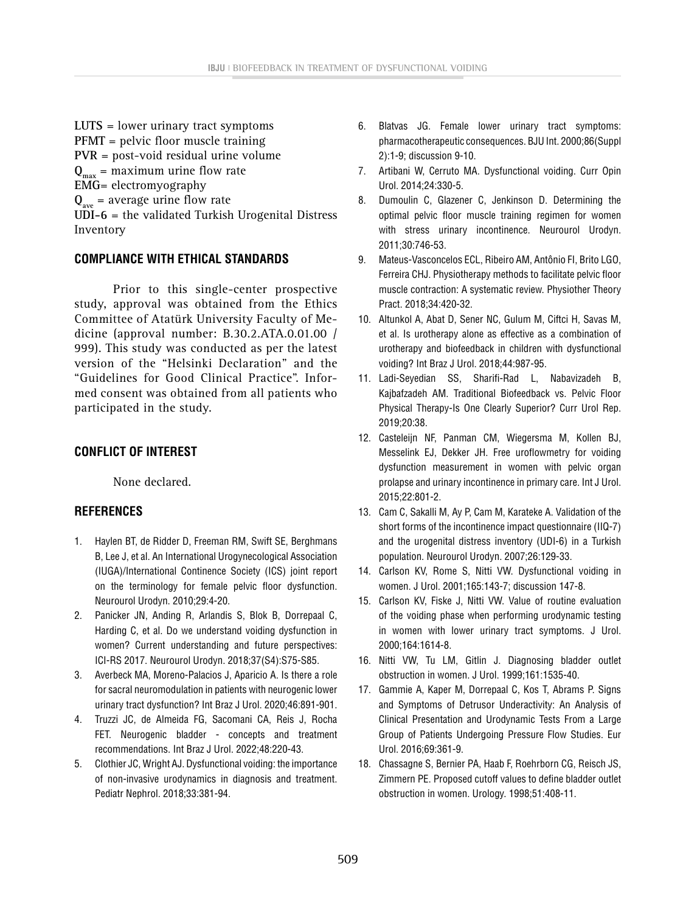**LUTS** = lower urinary tract symptoms **PFMT** = pelvic floor muscle training **PVR** = post-void residual urine volume  $Q_{\text{max}}$  = maximum urine flow rate **EMG**= electromyography  $Q_{\text{ave}}$  = average urine flow rate **UDI-6** = the validated Turkish Urogenital Distress Inventory

### **COMPLIANCE WITH ETHICAL STANDARDS**

Prior to this single-center prospective study, approval was obtained from the Ethics Committee of Atatürk University Faculty of Medicine (approval number: B.30.2.ATA.0.01.00 / 999). This study was conducted as per the latest version of the "Helsinki Declaration" and the "Guidelines for Good Clinical Practice". Informed consent was obtained from all patients who participated in the study.

## **CONFLICT OF INTEREST**

None declared.

### **REFERENCES**

- 1. Haylen BT, de Ridder D, Freeman RM, Swift SE, Berghmans B, Lee J, et al. An International Urogynecological Association (IUGA)/International Continence Society (ICS) joint report on the terminology for female pelvic floor dysfunction. Neurourol Urodyn. 2010;29:4-20.
- 2. Panicker JN, Anding R, Arlandis S, Blok B, Dorrepaal C, Harding C, et al. Do we understand voiding dysfunction in women? Current understanding and future perspectives: ICI-RS 2017. Neurourol Urodyn. 2018;37(S4):S75-S85.
- 3. Averbeck MA, Moreno-Palacios J, Aparicio A. Is there a role for sacral neuromodulation in patients with neurogenic lower urinary tract dysfunction? Int Braz J Urol. 2020;46:891-901.
- 4. Truzzi JC, de Almeida FG, Sacomani CA, Reis J, Rocha FET. Neurogenic bladder - concepts and treatment recommendations. Int Braz J Urol. 2022;48:220-43.
- 5. Clothier JC, Wright AJ. Dysfunctional voiding: the importance of non-invasive urodynamics in diagnosis and treatment. Pediatr Nephrol. 2018;33:381-94.
- 6. Blatvas JG. Female lower urinary tract symptoms: pharmacotherapeutic consequences. BJU Int. 2000;86(Suppl 2):1-9; discussion 9-10.
- 7. Artibani W, Cerruto MA. Dysfunctional voiding. Curr Opin Urol. 2014;24:330-5.
- 8. Dumoulin C, Glazener C, Jenkinson D. Determining the optimal pelvic floor muscle training regimen for women with stress urinary incontinence. Neurourol Urodyn. 2011;30:746-53.
- 9. Mateus-Vasconcelos ECL, Ribeiro AM, Antônio FI, Brito LGO, Ferreira CHJ. Physiotherapy methods to facilitate pelvic floor muscle contraction: A systematic review. Physiother Theory Pract. 2018;34:420-32.
- 10. Altunkol A, Abat D, Sener NC, Gulum M, Ciftci H, Savas M, et al. Is urotherapy alone as effective as a combination of urotherapy and biofeedback in children with dysfunctional voiding? Int Braz J Urol. 2018;44:987-95.
- 11. Ladi-Seyedian SS, Sharifi-Rad L, Nabavizadeh B, Kajbafzadeh AM. Traditional Biofeedback vs. Pelvic Floor Physical Therapy-Is One Clearly Superior? Curr Urol Rep. 2019;20:38.
- 12. Casteleijn NF, Panman CM, Wiegersma M, Kollen BJ, Messelink EJ, Dekker JH. Free uroflowmetry for voiding dysfunction measurement in women with pelvic organ prolapse and urinary incontinence in primary care. Int J Urol. 2015;22:801-2.
- 13. Cam C, Sakalli M, Ay P, Cam M, Karateke A. Validation of the short forms of the incontinence impact questionnaire (IIQ-7) and the urogenital distress inventory (UDI-6) in a Turkish population. Neurourol Urodyn. 2007;26:129-33.
- 14. Carlson KV, Rome S, Nitti VW. Dysfunctional voiding in women. J Urol. 2001;165:143-7; discussion 147-8.
- 15. Carlson KV, Fiske J, Nitti VW. Value of routine evaluation of the voiding phase when performing urodynamic testing in women with lower urinary tract symptoms. J Urol. 2000;164:1614-8.
- 16. Nitti VW, Tu LM, Gitlin J. Diagnosing bladder outlet obstruction in women. J Urol. 1999;161:1535-40.
- 17. Gammie A, Kaper M, Dorrepaal C, Kos T, Abrams P. Signs and Symptoms of Detrusor Underactivity: An Analysis of Clinical Presentation and Urodynamic Tests From a Large Group of Patients Undergoing Pressure Flow Studies. Eur Urol. 2016;69:361-9.
- 18. Chassagne S, Bernier PA, Haab F, Roehrborn CG, Reisch JS, Zimmern PE. Proposed cutoff values to define bladder outlet obstruction in women. Urology. 1998;51:408-11.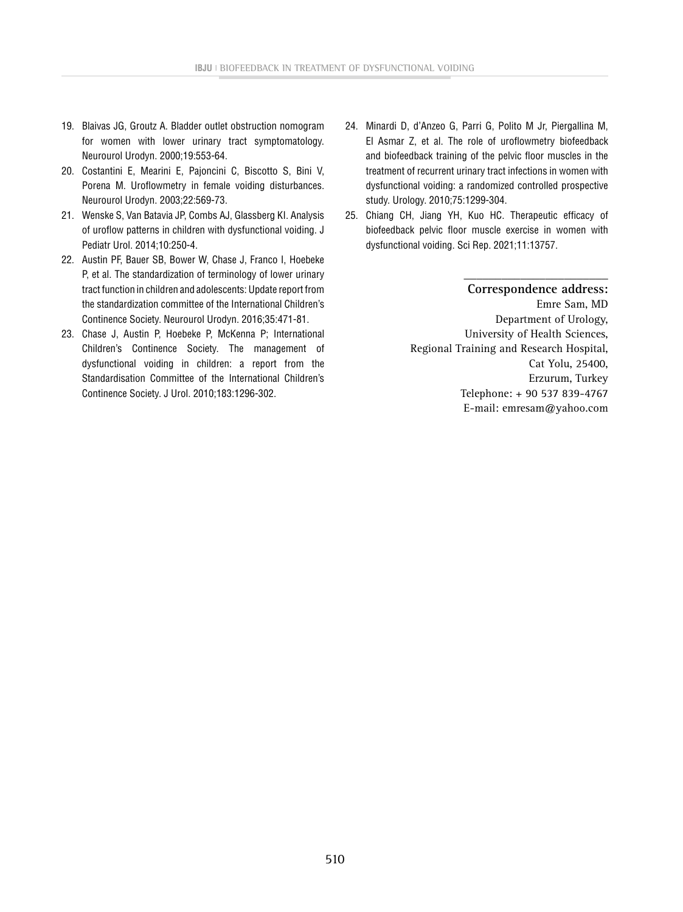- 19. Blaivas JG, Groutz A. Bladder outlet obstruction nomogram for women with lower urinary tract symptomatology. Neurourol Urodyn. 2000;19:553-64.
- 20. Costantini E, Mearini E, Pajoncini C, Biscotto S, Bini V, Porena M. Uroflowmetry in female voiding disturbances. Neurourol Urodyn. 2003;22:569-73.
- 21. Wenske S, Van Batavia JP, Combs AJ, Glassberg KI. Analysis of uroflow patterns in children with dysfunctional voiding. J Pediatr Urol. 2014;10:250-4.
- 22. Austin PF, Bauer SB, Bower W, Chase J, Franco I, Hoebeke P, et al. The standardization of terminology of lower urinary tract function in children and adolescents: Update report from the standardization committee of the International Children's Continence Society. Neurourol Urodyn. 2016;35:471-81.
- 23. Chase J, Austin P, Hoebeke P, McKenna P; International Children's Continence Society. The management of dysfunctional voiding in children: a report from the Standardisation Committee of the International Children's Continence Society. J Urol. 2010;183:1296-302.
- 24. Minardi D, d'Anzeo G, Parri G, Polito M Jr, Piergallina M, El Asmar Z, et al. The role of uroflowmetry biofeedback and biofeedback training of the pelvic floor muscles in the treatment of recurrent urinary tract infections in women with dysfunctional voiding: a randomized controlled prospective study. Urology. 2010;75:1299-304.
- 25. Chiang CH, Jiang YH, Kuo HC. Therapeutic efficacy of biofeedback pelvic floor muscle exercise in women with dysfunctional voiding. Sci Rep. 2021;11:13757.

**\_\_\_\_\_\_\_\_\_\_\_\_\_\_\_\_\_\_\_\_\_\_\_ Correspondence address:** Emre Sam, MD Department of Urology, University of Health Sciences, Regional Training and Research Hospital, Cat Yolu, 25400, Erzurum, Turkey Telephone: + 90 537 839-4767 E-mail: [emresam@yahoo.com](mailto:emresam@yahoo.com)